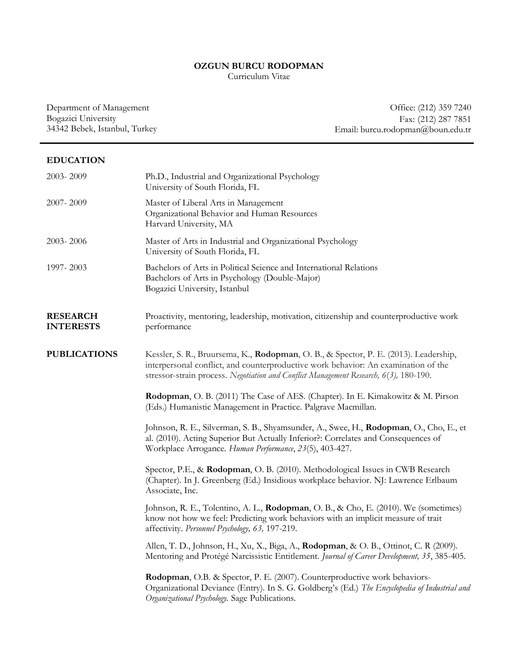## **OZGUN BURCU RODOPMAN**

Curriculum Vitae

Department of Management Bogazici University 34342 Bebek, Istanbul, Turkey

Office: (212) 359 7240 Fax: (212) 287 7851 Email: burcu.rodopman@boun.edu.tr

## **EDUCATION**

| 2003-2009                           | Ph.D., Industrial and Organizational Psychology<br>University of South Florida, FL                                                                                                                                                                                  |
|-------------------------------------|---------------------------------------------------------------------------------------------------------------------------------------------------------------------------------------------------------------------------------------------------------------------|
| 2007-2009                           | Master of Liberal Arts in Management<br>Organizational Behavior and Human Resources<br>Harvard University, MA                                                                                                                                                       |
| 2003-2006                           | Master of Arts in Industrial and Organizational Psychology<br>University of South Florida, FL                                                                                                                                                                       |
| 1997-2003                           | Bachelors of Arts in Political Science and International Relations<br>Bachelors of Arts in Psychology (Double-Major)<br>Bogazici University, Istanbul                                                                                                               |
| <b>RESEARCH</b><br><b>INTERESTS</b> | Proactivity, mentoring, leadership, motivation, citizenship and counterproductive work<br>performance                                                                                                                                                               |
| <b>PUBLICATIONS</b>                 | Kessler, S. R., Bruursema, K., Rodopman, O. B., & Spector, P. E. (2013). Leadership,<br>interpersonal conflict, and counterproductive work behavior: An examination of the<br>stressor-strain process. Negotiation and Conflict Management Research, 6(3), 180-190. |
|                                     | Rodopman, O. B. (2011) The Case of AES. (Chapter). In E. Kimakowitz & M. Pirson<br>(Eds.) Humanistic Management in Practice. Palgrave Macmillan.                                                                                                                    |
|                                     | Johnson, R. E., Silverman, S. B., Shyamsunder, A., Swee, H., Rodopman, O., Cho, E., et<br>al. (2010). Acting Superior But Actually Inferior?: Correlates and Consequences of<br>Workplace Arrogance. Human Performance, 23(5), 403-427.                             |
|                                     | Spector, P.E., & Rodopman, O.B. (2010). Methodological Issues in CWB Research<br>(Chapter). In J. Greenberg (Ed.) Insidious workplace behavior. NJ: Lawrence Erlbaum<br>Associate, Inc.                                                                             |
|                                     | Johnson, R. E., Tolentino, A. L., Rodopman, O. B., & Cho, E. (2010). We (sometimes)<br>know not how we feel: Predicting work behaviors with an implicit measure of trait<br>affectivity. Personnel Psychology, 63, 197-219.                                         |
|                                     | Allen, T. D., Johnson, H., Xu, X., Biga, A., Rodopman, & O. B., Ottinot, C. R (2009).<br>Mentoring and Protégé Narcissistic Entitlement. Journal of Career Development, 35, 385-405.                                                                                |
|                                     | Rodopman, O.B. & Spector, P. E. (2007). Counterproductive work behaviors-<br>Organizational Deviance (Entry). In S. G. Goldberg's (Ed.) The Encyclopedia of Industrial and<br>Organizational Psychology. Sage Publications.                                         |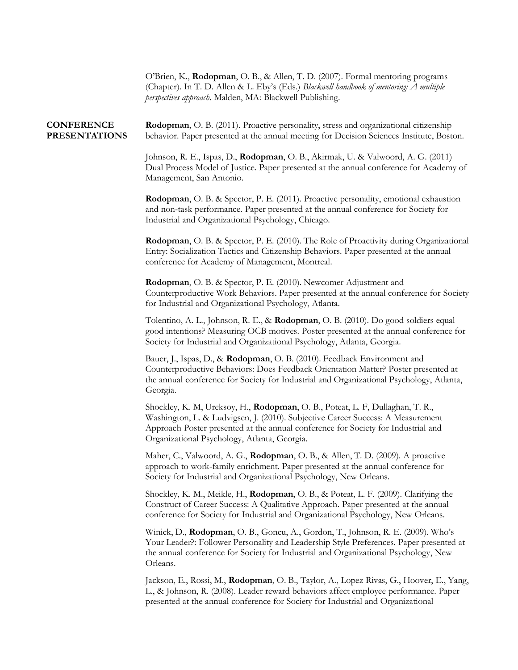|                                           | O'Brien, K., Rodopman, O. B., & Allen, T. D. (2007). Formal mentoring programs<br>(Chapter). In T. D. Allen & L. Eby's (Eds.) Blackwell handbook of mentoring: A multiple<br>perspectives approach. Malden, MA: Blackwell Publishing.                                                                 |
|-------------------------------------------|-------------------------------------------------------------------------------------------------------------------------------------------------------------------------------------------------------------------------------------------------------------------------------------------------------|
| <b>CONFERENCE</b><br><b>PRESENTATIONS</b> | Rodopman, O. B. (2011). Proactive personality, stress and organizational citizenship<br>behavior. Paper presented at the annual meeting for Decision Sciences Institute, Boston.                                                                                                                      |
|                                           | Johnson, R. E., Ispas, D., Rodopman, O. B., Akirmak, U. & Valwoord, A. G. (2011)<br>Dual Process Model of Justice. Paper presented at the annual conference for Academy of<br>Management, San Antonio.                                                                                                |
|                                           | Rodopman, O. B. & Spector, P. E. (2011). Proactive personality, emotional exhaustion<br>and non-task performance. Paper presented at the annual conference for Society for<br>Industrial and Organizational Psychology, Chicago.                                                                      |
|                                           | <b>Rodopman</b> , O. B. & Spector, P. E. (2010). The Role of Proactivity during Organizational<br>Entry: Socialization Tactics and Citizenship Behaviors. Paper presented at the annual<br>conference for Academy of Management, Montreal.                                                            |
|                                           | Rodopman, O. B. & Spector, P. E. (2010). Newcomer Adjustment and<br>Counterproductive Work Behaviors. Paper presented at the annual conference for Society<br>for Industrial and Organizational Psychology, Atlanta.                                                                                  |
|                                           | Tolentino, A. L., Johnson, R. E., & Rodopman, O. B. (2010). Do good soldiers equal<br>good intentions? Measuring OCB motives. Poster presented at the annual conference for<br>Society for Industrial and Organizational Psychology, Atlanta, Georgia.                                                |
|                                           | Bauer, J., Ispas, D., & Rodopman, O. B. (2010). Feedback Environment and<br>Counterproductive Behaviors: Does Feedback Orientation Matter? Poster presented at<br>the annual conference for Society for Industrial and Organizational Psychology, Atlanta,<br>Georgia.                                |
|                                           | Shockley, K. M, Ureksoy, H., Rodopman, O. B., Poteat, L. F, Dullaghan, T. R.,<br>Washington, L. & Ludvigsen, J. (2010). Subjective Career Success: A Measurement<br>Approach Poster presented at the annual conference for Society for Industrial and<br>Organizational Psychology, Atlanta, Georgia. |
|                                           | Maher, C., Valwoord, A. G., Rodopman, O. B., & Allen, T. D. (2009). A proactive<br>approach to work-family enrichment. Paper presented at the annual conference for<br>Society for Industrial and Organizational Psychology, New Orleans.                                                             |
|                                           | Shockley, K. M., Meikle, H., Rodopman, O. B., & Poteat, L. F. (2009). Clarifying the<br>Construct of Career Success: A Qualitative Approach. Paper presented at the annual<br>conference for Society for Industrial and Organizational Psychology, New Orleans.                                       |
|                                           | Winick, D., Rodopman, O. B., Goncu, A., Gordon, T., Johnson, R. E. (2009). Who's<br>Your Leader?: Follower Personality and Leadership Style Preferences. Paper presented at<br>the annual conference for Society for Industrial and Organizational Psychology, New<br>Orleans.                        |
|                                           | Jackson, E., Rossi, M., Rodopman, O. B., Taylor, A., Lopez Rivas, G., Hoover, E., Yang,<br>L., & Johnson, R. (2008). Leader reward behaviors affect employee performance. Paper                                                                                                                       |

presented at the annual conference for Society for Industrial and Organizational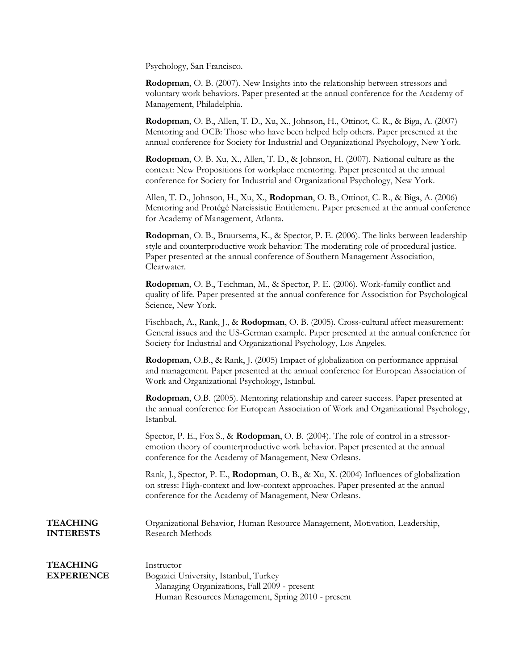Psychology, San Francisco.

**Rodopman**, O. B. (2007). New Insights into the relationship between stressors and voluntary work behaviors. Paper presented at the annual conference for the Academy of Management, Philadelphia.

**Rodopman**, O. B., Allen, T. D., Xu, X., Johnson, H., Ottinot, C. R., & Biga, A. (2007) Mentoring and OCB: Those who have been helped help others. Paper presented at the annual conference for Society for Industrial and Organizational Psychology, New York.

**Rodopman**, O. B. Xu, X., Allen, T. D., & Johnson, H. (2007). National culture as the context: New Propositions for workplace mentoring. Paper presented at the annual conference for Society for Industrial and Organizational Psychology, New York.

Allen, T. D., Johnson, H., Xu, X., **Rodopman**, O. B., Ottinot, C. R., & Biga, A. (2006) Mentoring and Protégé Narcissistic Entitlement. Paper presented at the annual conference for Academy of Management, Atlanta.

**Rodopman**, O. B., Bruursema, K., & Spector, P. E. (2006). The links between leadership style and counterproductive work behavior: The moderating role of procedural justice. Paper presented at the annual conference of Southern Management Association, Clearwater.

**Rodopman**, O. B., Teichman, M., & Spector, P. E. (2006). Work-family conflict and quality of life. Paper presented at the annual conference for Association for Psychological Science, New York.

Fischbach, A., Rank, J., & **Rodopman**, O. B. (2005). Cross-cultural affect measurement: General issues and the US-German example. Paper presented at the annual conference for Society for Industrial and Organizational Psychology, Los Angeles.

**Rodopman**, O.B., & Rank, J. (2005) Impact of globalization on performance appraisal and management. Paper presented at the annual conference for European Association of Work and Organizational Psychology, Istanbul.

**Rodopman**, O.B. (2005). Mentoring relationship and career success. Paper presented at the annual conference for European Association of Work and Organizational Psychology, Istanbul.

Spector, P. E., Fox S., & **Rodopman**, O. B. (2004). The role of control in a stressoremotion theory of counterproductive work behavior. Paper presented at the annual conference for the Academy of Management, New Orleans.

Rank, J., Spector, P. E., **Rodopman**, O. B., & Xu, X. (2004) Influences of globalization on stress: High-context and low-context approaches. Paper presented at the annual conference for the Academy of Management, New Orleans.

**TEACHING INTERESTS** Organizational Behavior, Human Resource Management, Motivation, Leadership, Research Methods

## **TEACHING EXPERIENCE** Instructor Bogazici University, Istanbul, Turkey Managing Organizations, Fall 2009 - present Human Resources Management, Spring 2010 - present